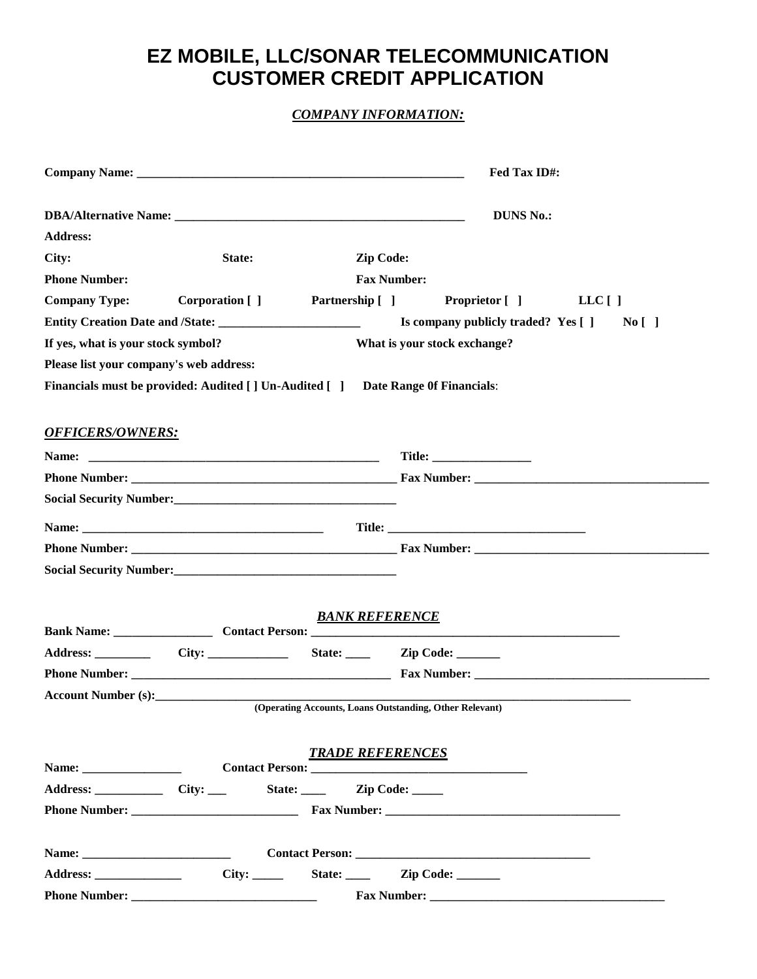## **EZ MOBILE, LLC/SONAR TELECOMMUNICATION CUSTOMER CREDIT APPLICATION**

## *COMPANY INFORMATION:*

|                                         |                                                            | Fed Tax ID#:                                                                    |
|-----------------------------------------|------------------------------------------------------------|---------------------------------------------------------------------------------|
|                                         |                                                            | <b>DUNS No.:</b>                                                                |
| <b>Address:</b>                         |                                                            |                                                                                 |
| City:                                   | State:                                                     | Zip Code:                                                                       |
| <b>Phone Number:</b>                    |                                                            | <b>Fax Number:</b>                                                              |
| <b>Company Type:</b>                    | Corporation []                                             | Partnership [ ]<br><b>Proprietor</b> [ ]<br>$LLC$ [ ]                           |
|                                         |                                                            | Is company publicly traded? Yes []<br>No [ ]                                    |
| If yes, what is your stock symbol?      |                                                            | What is your stock exchange?                                                    |
| Please list your company's web address: |                                                            |                                                                                 |
|                                         |                                                            | Financials must be provided: Audited [] Un-Audited [] Date Range Of Financials: |
| <b>OFFICERS/OWNERS:</b>                 |                                                            |                                                                                 |
| Name:                                   |                                                            |                                                                                 |
|                                         |                                                            |                                                                                 |
|                                         | Social Security Number:<br><u> </u>                        |                                                                                 |
|                                         |                                                            |                                                                                 |
|                                         |                                                            |                                                                                 |
|                                         | Social Security Number:<br><u> Social Security Number:</u> |                                                                                 |
|                                         |                                                            | <b>BANK REFERENCE</b>                                                           |
|                                         |                                                            |                                                                                 |
|                                         |                                                            | State: <u>Zip Code:</u>                                                         |
|                                         |                                                            |                                                                                 |
| Account Number (s):                     |                                                            | (Operating Accounts, Loans Outstanding, Other Relevant)                         |
|                                         |                                                            |                                                                                 |
|                                         |                                                            |                                                                                 |
|                                         |                                                            | <b>TRADE REFERENCES</b>                                                         |
|                                         |                                                            | Address: _____________ City: ____ State: _____ Zip Code: _____                  |
|                                         |                                                            |                                                                                 |
|                                         |                                                            |                                                                                 |
|                                         |                                                            | State: <u>Zip Code:</u>                                                         |
|                                         |                                                            |                                                                                 |